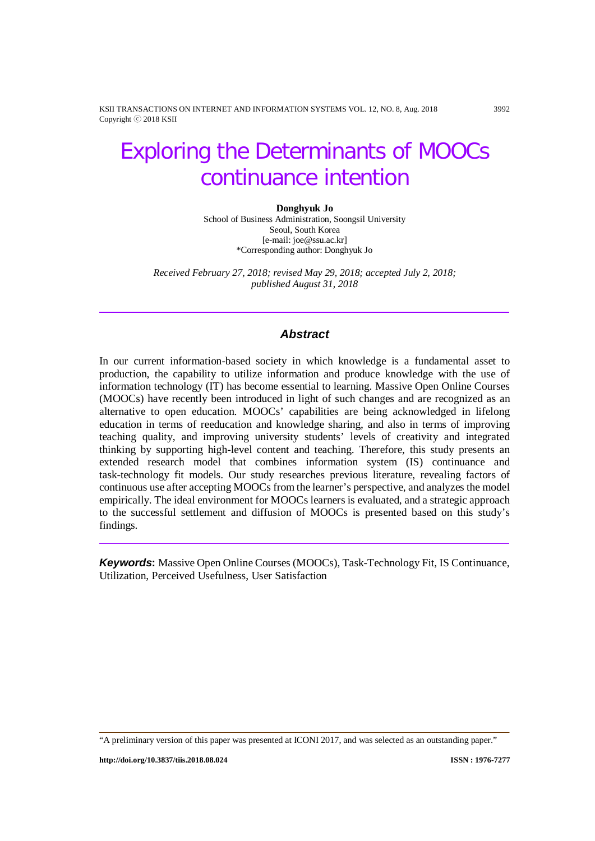KSII TRANSACTIONS ON INTERNET AND INFORMATION SYSTEMS VOL. 12, NO. 8, Aug. 2018 3992 Copyright ⓒ 2018 KSII

# Exploring the Determinants of MOOCs continuance intention

#### **Donghyuk Jo**

School of Business Administration, Soongsil University Seoul, South Korea [e-mail: joe@ssu.ac.kr] \*Corresponding author: Donghyuk Jo

*Received February 27, 2018; revised May 29, 2018; accepted July 2, 2018; published August 31, 2018*

# *Abstract*

In our current information-based society in which knowledge is a fundamental asset to production, the capability to utilize information and produce knowledge with the use of information technology (IT) has become essential to learning. Massive Open Online Courses (MOOCs) have recently been introduced in light of such changes and are recognized as an alternative to open education. MOOCs' capabilities are being acknowledged in lifelong education in terms of reeducation and knowledge sharing, and also in terms of improving teaching quality, and improving university students' levels of creativity and integrated thinking by supporting high-level content and teaching. Therefore, this study presents an extended research model that combines information system (IS) continuance and task-technology fit models. Our study researches previous literature, revealing factors of continuous use after accepting MOOCs from the learner's perspective, and analyzes the model empirically. The ideal environment for MOOCs learners is evaluated, and a strategic approach to the successful settlement and diffusion of MOOCs is presented based on this study's findings.

*Keywords***:** Massive Open Online Courses (MOOCs), Task-Technology Fit, IS Continuance, Utilization, Perceived Usefulness, User Satisfaction

<sup>&</sup>quot;A preliminary version of this paper was presented at ICONI 2017, and was selected as an outstanding paper."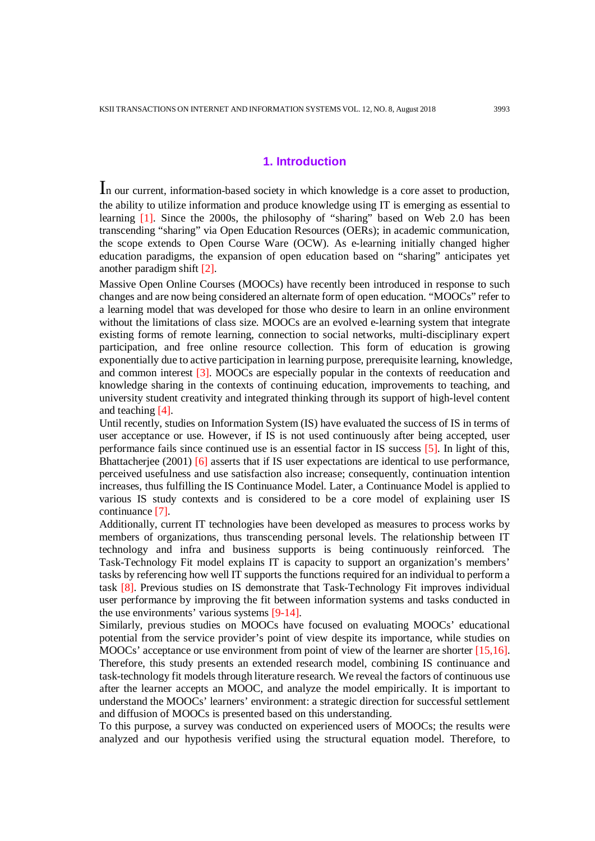# **1. Introduction**

In our current, information-based society in which knowledge is a core asset to production, the ability to utilize information and produce knowledge using IT is emerging as essential to learning [1]. Since the 2000s, the philosophy of "sharing" based on Web 2.0 has been transcending "sharing" via Open Education Resources (OERs); in academic communication, the scope extends to Open Course Ware (OCW). As e-learning initially changed higher education paradigms, the expansion of open education based on "sharing" anticipates yet another paradigm shift [2].

Massive Open Online Courses (MOOCs) have recently been introduced in response to such changes and are now being considered an alternate form of open education. "MOOCs" refer to a learning model that was developed for those who desire to learn in an online environment without the limitations of class size. MOOCs are an evolved e-learning system that integrate existing forms of remote learning, connection to social networks, multi-disciplinary expert participation, and free online resource collection. This form of education is growing exponentially due to active participation in learning purpose, prerequisite learning, knowledge, and common interest [3]. MOOCs are especially popular in the contexts of reeducation and knowledge sharing in the contexts of continuing education, improvements to teaching, and university student creativity and integrated thinking through its support of high-level content and teaching [4].

Until recently, studies on Information System (IS) have evaluated the success of IS in terms of user acceptance or use. However, if IS is not used continuously after being accepted, user performance fails since continued use is an essential factor in IS success [5]. In light of this, Bhattacherjee (2001) [6] asserts that if IS user expectations are identical to use performance, perceived usefulness and use satisfaction also increase; consequently, continuation intention increases, thus fulfilling the IS Continuance Model. Later, a Continuance Model is applied to various IS study contexts and is considered to be a core model of explaining user IS continuance [7].

Additionally, current IT technologies have been developed as measures to process works by members of organizations, thus transcending personal levels. The relationship between IT technology and infra and business supports is being continuously reinforced. The Task-Technology Fit model explains IT is capacity to support an organization's members' tasks by referencing how well IT supports the functions required for an individual to perform a task [8]. Previous studies on IS demonstrate that Task-Technology Fit improves individual user performance by improving the fit between information systems and tasks conducted in the use environments' various systems [9-14].

Similarly, previous studies on MOOCs have focused on evaluating MOOCs' educational potential from the service provider's point of view despite its importance, while studies on MOOCs' acceptance or use environment from point of view of the learner are shorter [15,16]. Therefore, this study presents an extended research model, combining IS continuance and task-technology fit models through literature research. We reveal the factors of continuous use after the learner accepts an MOOC, and analyze the model empirically. It is important to understand the MOOCs' learners' environment: a strategic direction for successful settlement and diffusion of MOOCs is presented based on this understanding.

To this purpose, a survey was conducted on experienced users of MOOCs; the results were analyzed and our hypothesis verified using the structural equation model. Therefore, to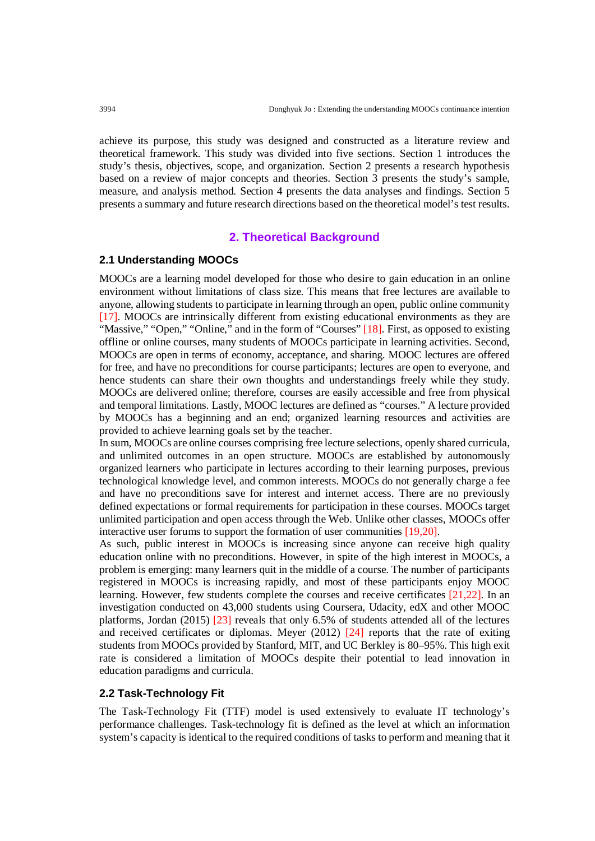achieve its purpose, this study was designed and constructed as a literature review and theoretical framework. This study was divided into five sections. Section 1 introduces the study's thesis, objectives, scope, and organization. Section 2 presents a research hypothesis based on a review of major concepts and theories. Section 3 presents the study's sample, measure, and analysis method. Section 4 presents the data analyses and findings. Section 5 presents a summary and future research directions based on the theoretical model's test results.

# **2. Theoretical Background**

## **2.1 Understanding MOOCs**

MOOCs are a learning model developed for those who desire to gain education in an online environment without limitations of class size. This means that free lectures are available to anyone, allowing students to participate in learning through an open, public online community [17]. MOOCs are intrinsically different from existing educational environments as they are "Massive," "Open," "Online," and in the form of "Courses" [18]. First, as opposed to existing offline or online courses, many students of MOOCs participate in learning activities. Second, MOOCs are open in terms of economy, acceptance, and sharing. MOOC lectures are offered for free, and have no preconditions for course participants; lectures are open to everyone, and hence students can share their own thoughts and understandings freely while they study. MOOCs are delivered online; therefore, courses are easily accessible and free from physical and temporal limitations. Lastly, MOOC lectures are defined as "courses." A lecture provided by MOOCs has a beginning and an end; organized learning resources and activities are provided to achieve learning goals set by the teacher.

In sum, MOOCs are online courses comprising free lecture selections, openly shared curricula, and unlimited outcomes in an open structure. MOOCs are established by autonomously organized learners who participate in lectures according to their learning purposes, previous technological knowledge level, and common interests. MOOCs do not generally charge a fee and have no preconditions save for interest and internet access. There are no previously defined expectations or formal requirements for participation in these courses. MOOCs target unlimited participation and open access through the Web. Unlike other classes, MOOCs offer interactive user forums to support the formation of user communities [19,20].

As such, public interest in MOOCs is increasing since anyone can receive high quality education online with no preconditions. However, in spite of the high interest in MOOCs, a problem is emerging: many learners quit in the middle of a course. The number of participants registered in MOOCs is increasing rapidly, and most of these participants enjoy MOOC learning. However, few students complete the courses and receive certificates [21,22]. In an investigation conducted on 43,000 students using Coursera, Udacity, edX and other MOOC platforms, Jordan (2015)  $\boxed{23}$  reveals that only 6.5% of students attended all of the lectures and received certificates or diplomas. Meyer (2012) [24] reports that the rate of exiting students from MOOCs provided by Stanford, MIT, and UC Berkley is 80–95%. This high exit rate is considered a limitation of MOOCs despite their potential to lead innovation in education paradigms and curricula.

## **2.2 Task-Technology Fit**

The Task-Technology Fit (TTF) model is used extensively to evaluate IT technology's performance challenges. Task-technology fit is defined as the level at which an information system's capacity is identical to the required conditions of tasks to perform and meaning that it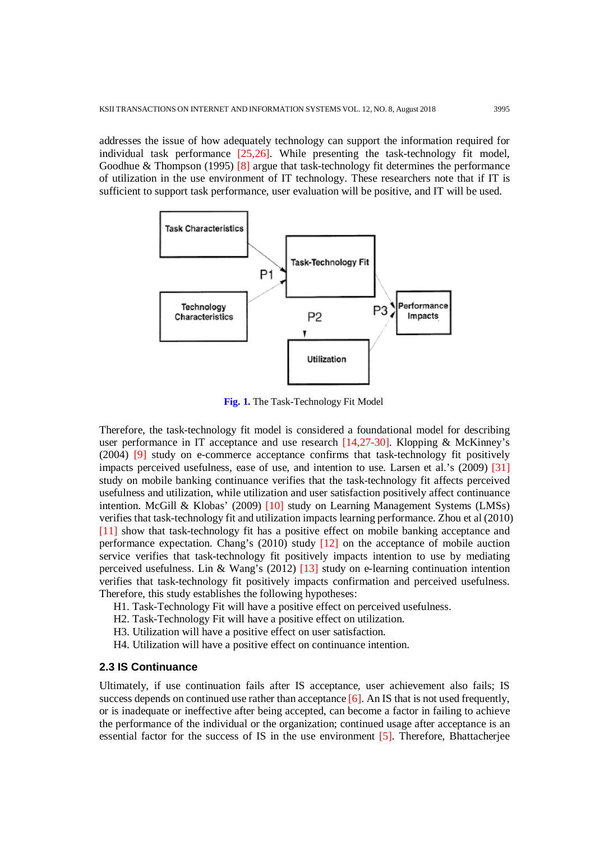addresses the issue of how adequately technology can support the information required for individual task performance [25,26]. While presenting the task-technology fit model, Goodhue & Thompson (1995)  $[8]$  argue that task-technology fit determines the performance of utilization in the use environment of IT technology. These researchers note that if IT is sufficient to support task performance, user evaluation will be positive, and IT will be used.



**Fig. 1.** The Task-Technology Fit Model

Therefore, the task-technology fit model is considered a foundational model for describing user performance in IT acceptance and use research [14,27-30]. Klopping & McKinney's (2004) [9] study on e-commerce acceptance confirms that task-technology fit positively impacts perceived usefulness, ease of use, and intention to use. Larsen et al.'s (2009) [31] study on mobile banking continuance verifies that the task-technology fit affects perceived usefulness and utilization, while utilization and user satisfaction positively affect continuance intention. McGill & Klobas' (2009) [10] study on Learning Management Systems (LMSs) verifies that task-technology fit and utilization impacts learning performance. Zhou et al (2010) [11] show that task-technology fit has a positive effect on mobile banking acceptance and performance expectation. Chang's (2010) study [12] on the acceptance of mobile auction service verifies that task-technology fit positively impacts intention to use by mediating perceived usefulness. Lin & Wang's (2012) [13] study on e-learning continuation intention verifies that task-technology fit positively impacts confirmation and perceived usefulness. Therefore, this study establishes the following hypotheses:

- H1. Task-Technology Fit will have a positive effect on perceived usefulness.
- H2. Task-Technology Fit will have a positive effect on utilization.
- H3. Utilization will have a positive effect on user satisfaction.
- H4. Utilization will have a positive effect on continuance intention.

## **2.3 IS Continuance**

Ultimately, if use continuation fails after IS acceptance, user achievement also fails; IS success depends on continued use rather than acceptance [6]. An IS that is not used frequently, or is inadequate or ineffective after being accepted, can become a factor in failing to achieve the performance of the individual or the organization; continued usage after acceptance is an essential factor for the success of IS in the use environment [5]. Therefore, Bhattacherjee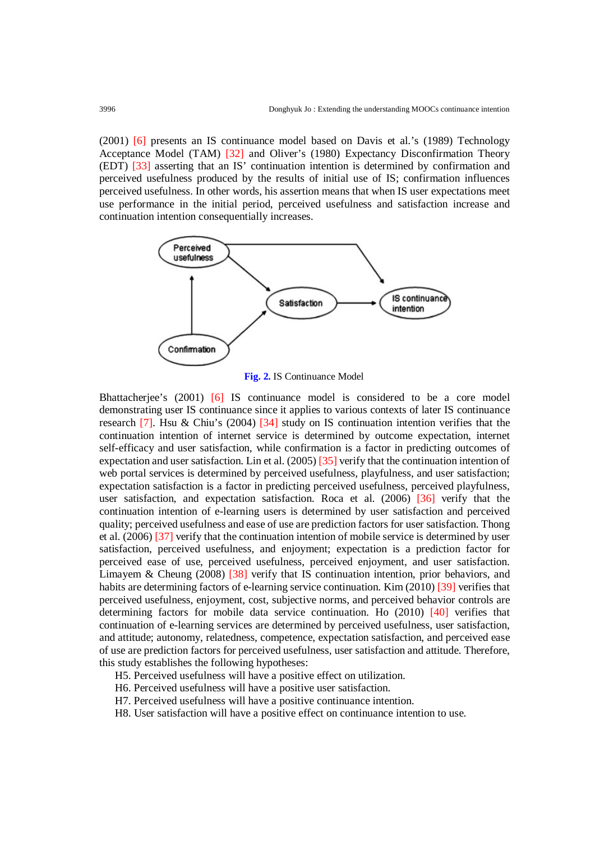(2001) [6] presents an IS continuance model based on Davis et al.'s (1989) Technology Acceptance Model (TAM) [32] and Oliver's (1980) Expectancy Disconfirmation Theory (EDT) [33] asserting that an IS' continuation intention is determined by confirmation and perceived usefulness produced by the results of initial use of IS; confirmation influences perceived usefulness. In other words, his assertion means that when IS user expectations meet use performance in the initial period, perceived usefulness and satisfaction increase and continuation intention consequentially increases.





Bhattacherjee's (2001) [6] IS continuance model is considered to be a core model demonstrating user IS continuance since it applies to various contexts of later IS continuance research [7]. Hsu & Chiu's (2004) [34] study on IS continuation intention verifies that the continuation intention of internet service is determined by outcome expectation, internet self-efficacy and user satisfaction, while confirmation is a factor in predicting outcomes of expectation and user satisfaction. Lin et al. (2005) [35] verify that the continuation intention of web portal services is determined by perceived usefulness, playfulness, and user satisfaction; expectation satisfaction is a factor in predicting perceived usefulness, perceived playfulness, user satisfaction, and expectation satisfaction. Roca et al. (2006) [36] verify that the continuation intention of e-learning users is determined by user satisfaction and perceived quality; perceived usefulness and ease of use are prediction factors for user satisfaction. Thong et al. (2006) [37] verify that the continuation intention of mobile service is determined by user satisfaction, perceived usefulness, and enjoyment; expectation is a prediction factor for perceived ease of use, perceived usefulness, perceived enjoyment, and user satisfaction. Limayem & Cheung (2008) [38] verify that IS continuation intention, prior behaviors, and habits are determining factors of e-learning service continuation. Kim (2010) [39] verifies that perceived usefulness, enjoyment, cost, subjective norms, and perceived behavior controls are determining factors for mobile data service continuation. Ho (2010) [40] verifies that continuation of e-learning services are determined by perceived usefulness, user satisfaction, and attitude; autonomy, relatedness, competence, expectation satisfaction, and perceived ease of use are prediction factors for perceived usefulness, user satisfaction and attitude. Therefore, this study establishes the following hypotheses:

- H5. Perceived usefulness will have a positive effect on utilization.
- H6. Perceived usefulness will have a positive user satisfaction.
- H7. Perceived usefulness will have a positive continuance intention.
- H8. User satisfaction will have a positive effect on continuance intention to use.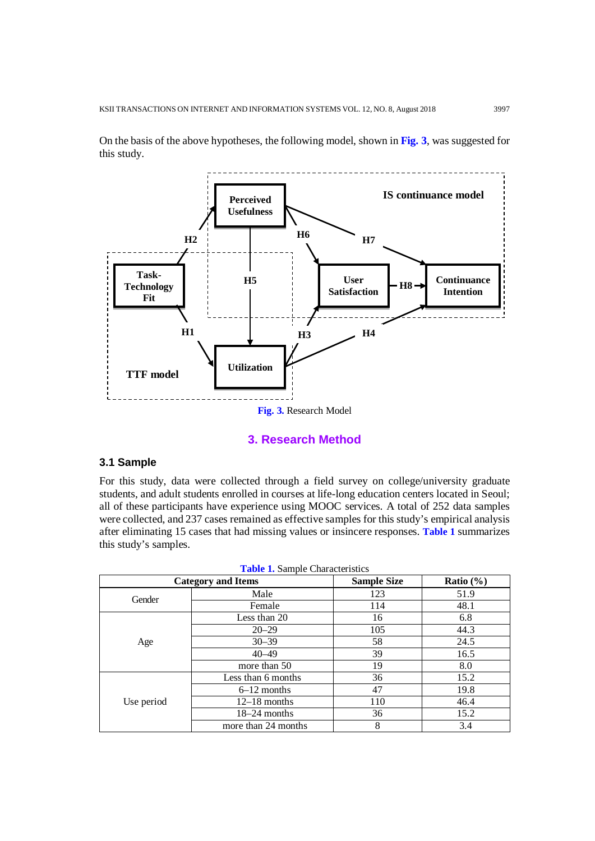On the basis of the above hypotheses, the following model, shown in **Fig. 3**, was suggested for this study.



## **3. Research Method**

## **3.1 Sample**

For this study, data were collected through a field survey on college/university graduate students, and adult students enrolled in courses at life-long education centers located in Seoul; all of these participants have experience using MOOC services. A total of 252 data samples were collected, and 237 cases remained as effective samples for this study's empirical analysis after eliminating 15 cases that had missing values or insincere responses. **Table 1** summarizes this study's samples.

|            | <b>Category and Items</b> | <b>Sample Size</b> | Ratio $(\% )$ |
|------------|---------------------------|--------------------|---------------|
| Gender     | Male                      | 123                | 51.9          |
|            | Female                    | 114                | 48.1          |
| Age        | Less than 20              | 16                 | 6.8           |
|            | $20 - 29$                 | 105                | 44.3          |
|            | $30 - 39$                 | 58                 | 24.5          |
|            | $40 - 49$                 | 39                 | 16.5          |
|            | more than 50              | 19                 | 8.0           |
| Use period | Less than 6 months        | 36                 | 15.2          |
|            | $6-12$ months             | 47                 | 19.8          |
|            | $12-18$ months            | 110                | 46.4          |
|            | $18-24$ months            | 36                 | 15.2          |
|            | more than 24 months       | 8                  | 3.4           |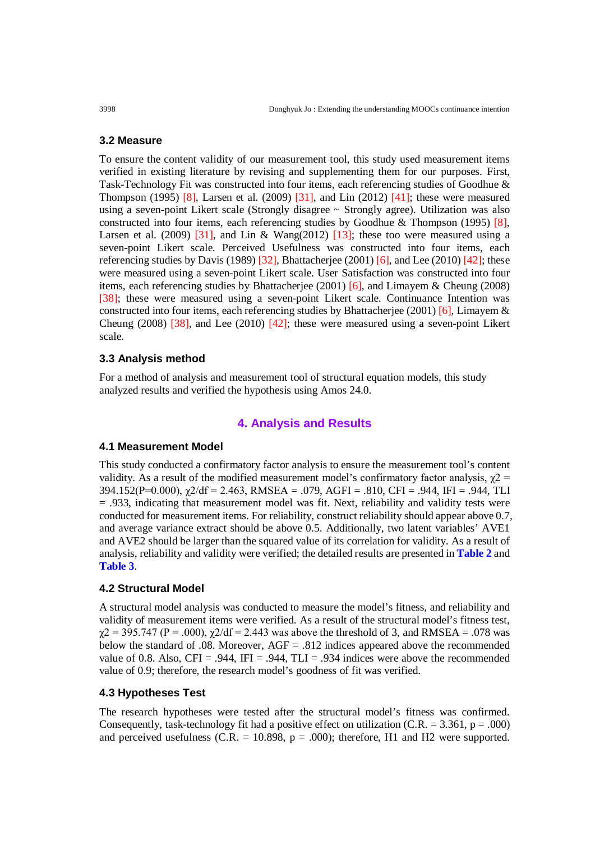#### **3.2 Measure**

To ensure the content validity of our measurement tool, this study used measurement items verified in existing literature by revising and supplementing them for our purposes. First, Task-Technology Fit was constructed into four items, each referencing studies of Goodhue & Thompson (1995) [8], Larsen et al. (2009)  $\overline{31}$ ], and Lin (2012)  $\overline{41}$ ; these were measured using a seven-point Likert scale (Strongly disagree ~ Strongly agree). Utilization was also constructed into four items, each referencing studies by Goodhue & Thompson (1995)  $[8]$ , Larsen et al. (2009) [31], and Lin & Wang(2012) [13]; these too were measured using a seven-point Likert scale. Perceived Usefulness was constructed into four items, each referencing studies by Davis (1989) [32], Bhattacherjee (2001) [6], and Lee (2010) [42]; these were measured using a seven-point Likert scale. User Satisfaction was constructed into four items, each referencing studies by Bhattacherjee (2001) [6], and Limayem & Cheung (2008) [38]; these were measured using a seven-point Likert scale. Continuance Intention was constructed into four items, each referencing studies by Bhattacherjee (2001) [6], Limayem  $\&$ Cheung (2008) [38], and Lee (2010) [42]; these were measured using a seven-point Likert scale.

#### **3.3 Analysis method**

For a method of analysis and measurement tool of structural equation models, this study analyzed results and verified the hypothesis using Amos 24.0.

# **4. Analysis and Results**

#### **4.1 Measurement Model**

This study conducted a confirmatory factor analysis to ensure the measurement tool's content validity. As a result of the modified measurement model's confirmatory factor analysis,  $\gamma$ 2 =  $394.152(P=0.000)$ ,  $\gamma$ 2/df = 2.463, RMSEA = .079, AGFI = .810, CFI = .944, IFI = .944, TLI  $= .933$ , indicating that measurement model was fit. Next, reliability and validity tests were conducted for measurement items. For reliability, construct reliability should appear above 0.7, and average variance extract should be above 0.5. Additionally, two latent variables' AVE1 and AVE2 should be larger than the squared value of its correlation for validity. As a result of analysis, reliability and validity were verified; the detailed results are presented in **Table 2** and **Table 3**.

#### **4.2 Structural Model**

A structural model analysis was conducted to measure the model's fitness, and reliability and validity of measurement items were verified. As a result of the structural model's fitness test,  $\gamma$ 2 = 395.747 (P = .000),  $\gamma$ 2/df = 2.443 was above the threshold of 3, and RMSEA = .078 was below the standard of .08. Moreover, AGF = .812 indices appeared above the recommended value of 0.8. Also, CFI = .944, IFI = .944, TLI = .934 indices were above the recommended value of 0.9; therefore, the research model's goodness of fit was verified.

## **4.3 Hypotheses Test**

The research hypotheses were tested after the structural model's fitness was confirmed. Consequently, task-technology fit had a positive effect on utilization (C.R. = 3.361,  $p = .000$ ) and perceived usefulness (C.R. = 10.898,  $p = .000$ ); therefore, H1 and H2 were supported.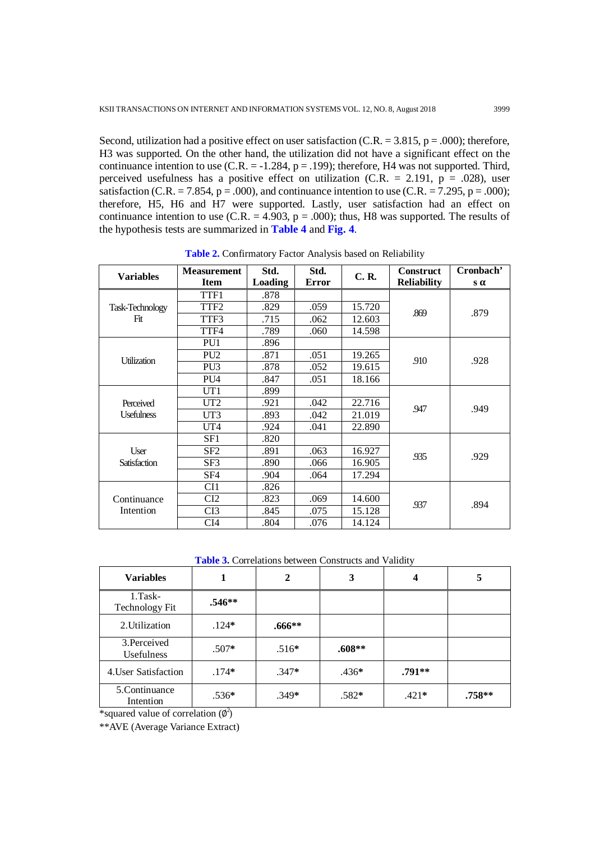Second, utilization had a positive effect on user satisfaction (C.R. =  $3.815$ , p = .000); therefore, H3 was supported. On the other hand, the utilization did not have a significant effect on the continuance intention to use  $(C.R. = -1.284, p = .199)$ ; therefore, H4 was not supported. Third, perceived usefulness has a positive effect on utilization (C.R. = 2.191,  $p = .028$ ), user satisfaction (C.R. = 7.854, p = .000), and continuance intention to use (C.R. = 7.295, p = .000); therefore, H5, H6 and H7 were supported. Lastly, user satisfaction had an effect on continuance intention to use  $(C.R. = 4.903, p = .000)$ ; thus, H8 was supported. The results of the hypothesis tests are summarized in **Table 4** and **Fig. 4**.

| <b>Variables</b>               | <b>Measurement</b> | Std.    | Std.  | <b>C.R.</b> | <b>Construct</b>   | Cronbach'  |
|--------------------------------|--------------------|---------|-------|-------------|--------------------|------------|
|                                | <b>Item</b>        | Loading | Error |             | <b>Reliability</b> | $s \alpha$ |
|                                | TTF1               | .878    |       |             |                    | .879       |
| Task-Technology                | TTF <sub>2</sub>   | .829    | .059  | 15.720      | .869               |            |
| Fit                            | TTF3               | .715    | .062  | 12.603      |                    |            |
|                                | TTF4               | .789    | .060  | 14.598      |                    |            |
|                                | PU1                | .896    |       |             |                    |            |
| <b>Utilization</b>             | PU <sub>2</sub>    | .871    | .051  | 19.265      | .910               | .928       |
|                                | PU <sub>3</sub>    | .878    | .052  | 19.615      |                    |            |
|                                | PU <sub>4</sub>    | .847    | .051  | 18.166      |                    |            |
| Perceived<br><b>Usefulness</b> | UT <sub>1</sub>    | .899    |       |             |                    | .949       |
|                                | UT <sub>2</sub>    | .921    | .042  | 22.716      | .947               |            |
|                                | UT3                | .893    | .042  | 21.019      |                    |            |
|                                | UT4                | .924    | .041  | 22.890      |                    |            |
|                                | SF1                | .820    |       |             |                    |            |
| User<br><b>Satisfaction</b>    | SF2                | .891    | .063  | 16.927      | .935               | .929       |
|                                | SF3                | .890    | .066  | 16.905      |                    |            |
|                                | SF4                | .904    | .064  | 17.294      |                    |            |
| Continuance<br>Intention       | CI <sub>1</sub>    | .826    |       |             |                    |            |
|                                | CI2                | .823    | .069  | 14.600      | .937               | .894       |
|                                | CI3                | .845    | .075  | 15.128      |                    |            |
|                                | CI4                | .804    | .076  | 14.124      |                    |            |

**Table 2.** Confirmatory Factor Analysis based on Reliability

**Table 3.** Correlations between Constructs and Validity

| <b>Variables</b>                    |          | 2        | 3        | 4        | 5        |
|-------------------------------------|----------|----------|----------|----------|----------|
| $1. Task-$<br><b>Technology Fit</b> | $.546**$ |          |          |          |          |
| 2. Utilization                      | $.124*$  | $.666**$ |          |          |          |
| 3. Perceived<br><b>Usefulness</b>   | $.507*$  | $.516*$  | $.608**$ |          |          |
| 4. User Satisfaction                | $.174*$  | $.347*$  | $.436*$  | $.791**$ |          |
| 5. Continuance<br>Intention         | $.536*$  | $.349*$  | $.582*$  | $.421*$  | $.758**$ |

\*squared value of correlation  $(\phi^2)$ 

\*\*AVE (Average Variance Extract)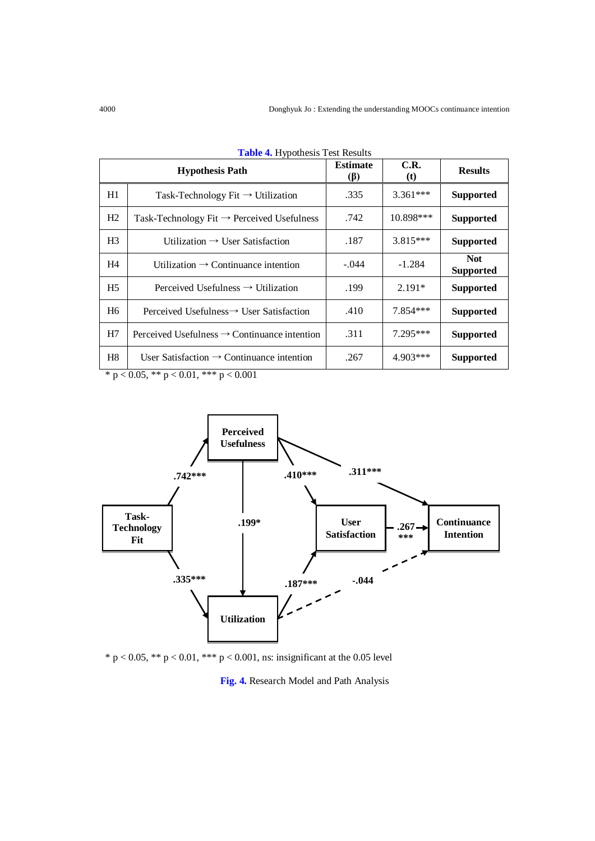|                | <b>Hypothesis Path</b>                                   | <b>Estimate</b><br>$(\beta)$ | C.R.<br>(t) | <b>Results</b>                 |
|----------------|----------------------------------------------------------|------------------------------|-------------|--------------------------------|
| H1             | Task-Technology Fit $\rightarrow$ Utilization            | .335                         | $3.361***$  | <b>Supported</b>               |
| H2             | Task-Technology Fit $\rightarrow$ Perceived Usefulness   | .742                         | $10.898***$ | <b>Supported</b>               |
| H <sub>3</sub> | Utilization $\rightarrow$ User Satisfaction              | .187                         | $3.815***$  | <b>Supported</b>               |
| H4             | Utilization $\rightarrow$ Continuance intention          | $-.044$                      | $-1.284$    | <b>Not</b><br><b>Supported</b> |
| H5             | Perceived Usefulness $\rightarrow$ Utilization           | .199                         | $2.191*$    | <b>Supported</b>               |
| H <sub>6</sub> | Perceived Usefulness $\rightarrow$ User Satisfaction     | .410                         | $7.854***$  | <b>Supported</b>               |
| H7             | Perceived Usefulness $\rightarrow$ Continuance intention | .311                         | $7.295***$  | <b>Supported</b>               |
| H8             | User Satisfaction $\rightarrow$ Continuance intention    | .267                         | $4.903***$  | <b>Supported</b>               |

|  |  |  | Table 4. Hypothesis Test Results |  |  |
|--|--|--|----------------------------------|--|--|
|--|--|--|----------------------------------|--|--|

\* p < 0.05, \*\* p < 0.01, \*\*\* p < 0.001



\* p < 0.05, \*\* p < 0.01, \*\*\* p < 0.001, ns: insignificant at the 0.05 level

## **Fig. 4.** Research Model and Path Analysis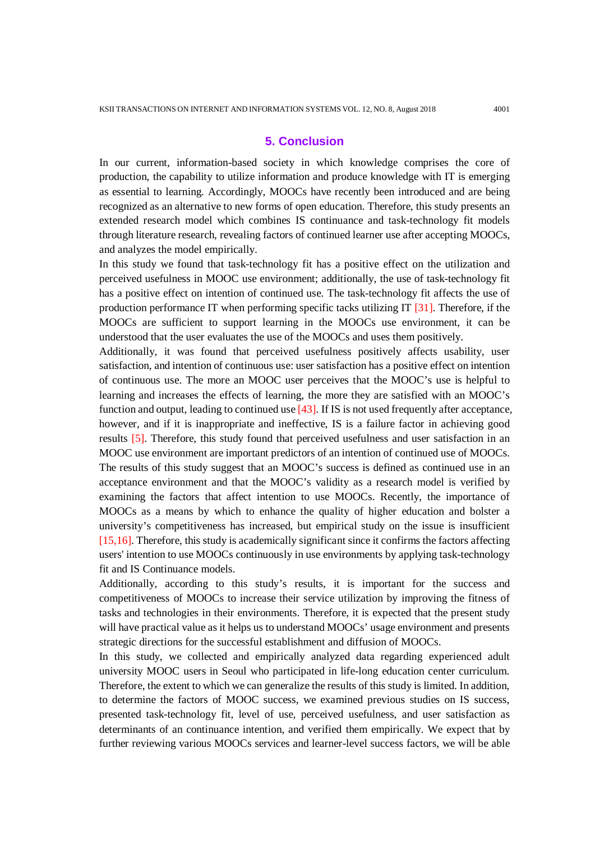# **5. Conclusion**

In our current, information-based society in which knowledge comprises the core of production, the capability to utilize information and produce knowledge with IT is emerging as essential to learning. Accordingly, MOOCs have recently been introduced and are being recognized as an alternative to new forms of open education. Therefore, this study presents an extended research model which combines IS continuance and task-technology fit models through literature research, revealing factors of continued learner use after accepting MOOCs, and analyzes the model empirically.

In this study we found that task-technology fit has a positive effect on the utilization and perceived usefulness in MOOC use environment; additionally, the use of task-technology fit has a positive effect on intention of continued use. The task-technology fit affects the use of production performance IT when performing specific tacks utilizing IT  $[31]$ . Therefore, if the MOOCs are sufficient to support learning in the MOOCs use environment, it can be understood that the user evaluates the use of the MOOCs and uses them positively.

Additionally, it was found that perceived usefulness positively affects usability, user satisfaction, and intention of continuous use: user satisfaction has a positive effect on intention of continuous use. The more an MOOC user perceives that the MOOC's use is helpful to learning and increases the effects of learning, the more they are satisfied with an MOOC's function and output, leading to continued use [43]. If IS is not used frequently after acceptance, however, and if it is inappropriate and ineffective, IS is a failure factor in achieving good results [5]. Therefore, this study found that perceived usefulness and user satisfaction in an MOOC use environment are important predictors of an intention of continued use of MOOCs. The results of this study suggest that an MOOC's success is defined as continued use in an acceptance environment and that the MOOC's validity as a research model is verified by examining the factors that affect intention to use MOOCs. Recently, the importance of MOOCs as a means by which to enhance the quality of higher education and bolster a university's competitiveness has increased, but empirical study on the issue is insufficient [15,16]. Therefore, this study is academically significant since it confirms the factors affecting users' intention to use MOOCs continuously in use environments by applying task-technology fit and IS Continuance models.

Additionally, according to this study's results, it is important for the success and competitiveness of MOOCs to increase their service utilization by improving the fitness of tasks and technologies in their environments. Therefore, it is expected that the present study will have practical value as it helps us to understand MOOCs' usage environment and presents strategic directions for the successful establishment and diffusion of MOOCs.

In this study, we collected and empirically analyzed data regarding experienced adult university MOOC users in Seoul who participated in life-long education center curriculum. Therefore, the extent to which we can generalize the results of this study is limited. In addition, to determine the factors of MOOC success, we examined previous studies on IS success, presented task-technology fit, level of use, perceived usefulness, and user satisfaction as determinants of an continuance intention, and verified them empirically. We expect that by further reviewing various MOOCs services and learner-level success factors, we will be able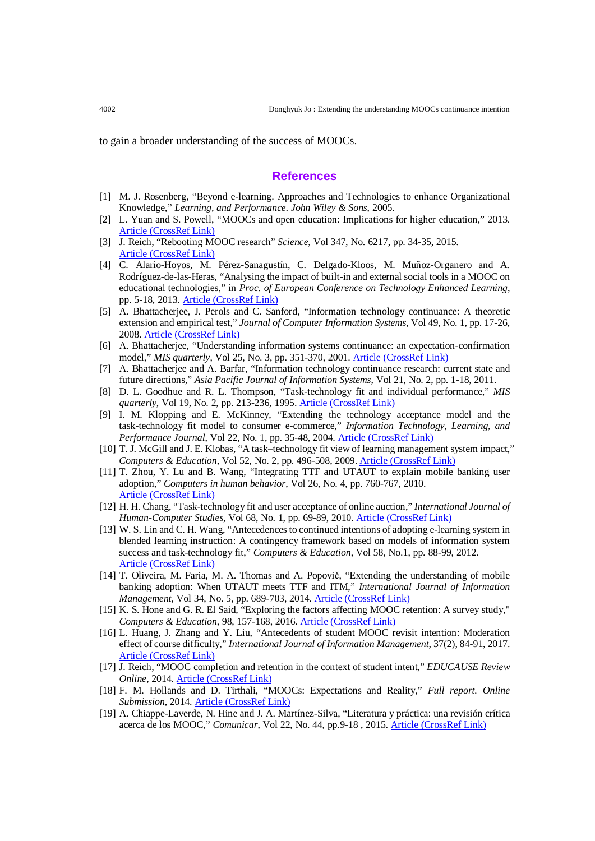to gain a broader understanding of the success of MOOCs.

#### **References**

- [1] M. J. Rosenberg, "Beyond e-learning. Approaches and Technologies to enhance Organizational Knowledge," *Learning, and Performance. John Wiley & Sons*, 2005.
- [2] L. Yuan and S. Powell, "MOOCs and open education: Implications for higher education," 2013. [Article \(CrossRef Link\)](https://publications.cetis.org.uk/wp-content/uploads/2013/03/MOOCs-and-Open-Education.pdf)
- [3] J. Reich, "Rebooting MOOC research" *Science*, Vol 347, No. 6217, pp. 34-35, 2015. [Article \(CrossRef Link\)](https://doi.org/10.1126/science.1261627)
- [4] C. Alario-Hoyos, M. Pérez-Sanagustín, C. Delgado-Kloos, M. Muñoz-Organero and A. Rodríguez-de-las-Heras, "Analysing the impact of built-in and external social tools in a MOOC on educational technologies," in *Proc. of European Conference on Technology Enhanced Learning*, pp. 5-18, 2013. [Article \(CrossRef Link\)](https://doi.org/10.1007/978-3-642-40814-4_2)
- [5] A. Bhattacherjee, J. Perols and C. Sanford, "Information technology continuance: A theoretic extension and empirical test," *Journal of Computer Information Systems*, Vol 49, No. 1, pp. 17-26, 2008. [Article \(CrossRef Link\)](https://doi.org/10.1080/08874417.2008.11645302)
- [6] A. Bhattacherjee, "Understanding information systems continuance: an expectation-confirmation model," *MIS quarterly*, Vol 25, No. 3, pp. 351-370, 2001. [Article \(CrossRef Link\)](https://doi.org/10.2307/3250921)
- [7] A. Bhattacherjee and A. Barfar, "Information technology continuance research: current state and future directions," *Asia Pacific Journal of Information Systems*, Vol 21, No. 2, pp. 1-18, 2011.
- [8] D. L. Goodhue and R. L. Thompson, "Task-technology fit and individual performance," *MIS quarterly*, Vol 19, No. 2, pp. 213-236, 1995. [Article \(CrossRef Link\)](https://doi.org/10.2307/249689)
- [9] I. M. Klopping and E. McKinney, "Extending the technology acceptance model and the task-technology fit model to consumer e-commerce," *Information Technology, Learning, and Performance Journal*, Vol 22, No. 1, pp. 35-48, 2004. Article [\(CrossRef Link\)](https://cdn.ymaws.com/aisnet.org/resource/group/3f1cd2cf-a29b-4822-8581-7b1360e30c71/Spring_2004/kloppingmckinneyspring2004.pdf)
- [10] T. J. McGill and J. E. Klobas, "A task–technology fit view of learning management system impact," *Computers & Education*, Vol 52, No. 2, pp. 496-508, 2009. [Article \(CrossRef Link\)](https://doi.org/10.1016/j.compedu.2008.10.002)
- [11] T. Zhou, Y. Lu and B. Wang, "Integrating TTF and UTAUT to explain mobile banking user adoption," *Computers in human behavior*, Vol 26, No. 4, pp. 760-767, 2010. [Article \(CrossRef Link\)](https://doi.org/10.1016/j.chb.2010.01.013)
- [12] H. H. Chang, "Task-technology fit and user acceptance of online auction," *International Journal of Human-Computer Studies*, Vol 68, No. 1, pp. 69-89, 2010. [Article \(CrossRef Link\)](https://doi.org/10.1016/j.ijhcs.2009.09.010)
- [13] W. S. Lin and C. H. Wang, "Antecedences to continued intentions of adopting e-learning system in blended learning instruction: A contingency framework based on models of information system success and task-technology fit," *Computers & Education*, Vol 58, No.1, pp. 88-99, 2012. [Article \(CrossRef Link\)](https://doi.org/10.1016/j.compedu.2011.07.008)
- [14] T. Oliveira, M. Faria, M. A. Thomas and A. Popovič, "Extending the understanding of mobile banking adoption: When UTAUT meets TTF and ITM," *International Journal of Information Management*, Vol 34, No. 5, pp. 689-703, 2014. [Article \(CrossRef Link\)](https://doi.org/10.1016/j.ijinfomgt.2014.06.004)
- [15] K. S. Hone and G. R. El Said, "Exploring the factors affecting MOOC retention: A survey study," *Computers & Education*, 98, 157-168, 2016. [Article \(CrossRef Link\)](https://doi.org/10.1016/j.compedu.2016.03.016)
- [16] L. Huang, J. Zhang and Y. Liu, "Antecedents of student MOOC revisit intention: Moderation effect of course difficulty," *International Journal of Information Management*, 37(2), 84-91, 2017. [Article \(CrossRef Link\)](https://doi.org/10.1016/j.ijinfomgt.2016.12.002)
- [17] J. Reich, "MOOC completion and retention in the context of student intent," *EDUCAUSE Review Online*, 2014[. Article \(CrossRef Link\)](https://er.educause.edu/articles/2014/12/mooc-completion-and-retention-in-the-context-of-student-intent)
- [18] F. M. Hollands and D. Tirthali, "MOOCs: Expectations and Reality," *Full report. Online Submission*, 2014. [Article \(CrossRef Link\)](https://files.eric.ed.gov/fulltext/ED547237.pdf)
- [19] A. Chiappe-Laverde, N. Hine and J. A. Martínez-Silva, "Literatura y práctica: una revisión crítica acerca de los MOOC," *Comunicar*, Vol 22, No. 44, pp.9-18 , 2015. [Article \(CrossRef Link\)](https://doi.org/10.3916/c44-2015-01)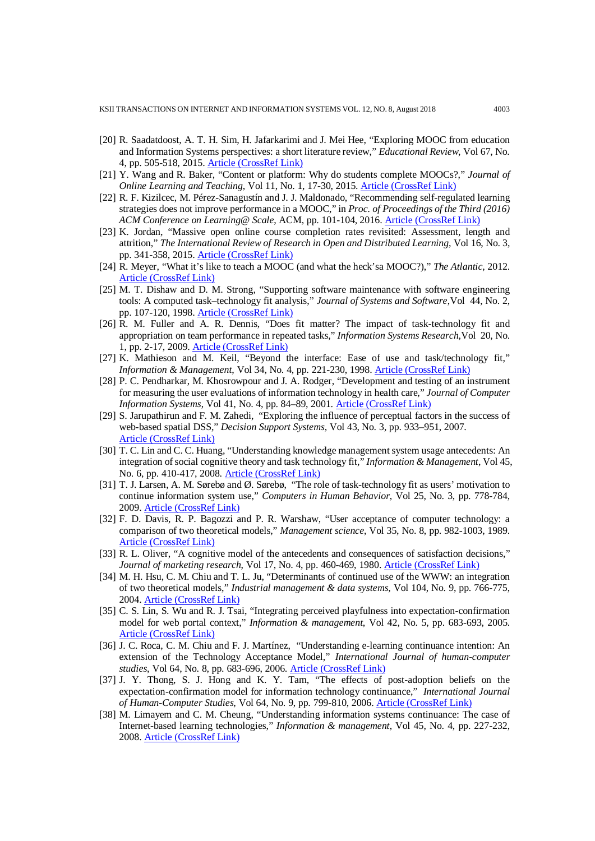- [20] R. Saadatdoost, A. T. H. Sim, H. Jafarkarimi and J. Mei Hee, "Exploring MOOC from education and Information Systems perspectives: a short literature review," *Educational Review*, Vol 67, No. 4, pp. 505-518, 2015. [Article \(CrossRef Link\)](https://doi.org/10.1080/00131911.2015.1058748)
- [21] Y. Wang and R. Baker, "Content or platform: Why do students complete MOOCs?," *Journal of Online Learning and Teaching*, Vol 11, No. 1, 17-30, 2015. [Article \(CrossRef Link\)](https://pdfs.semanticscholar.org/294f/93a0a0ed61471a469dd658217ef7a6093409.pdf)
- [22] R. F. Kizilcec, M. Pérez-Sanagustín and J. J. Maldonado, "Recommending self-regulated learning strategies does not improve performance in a MOOC," in *Proc. of Proceedings of the Third (2016) ACM Conference on Learning@ Scale*, ACM, pp. 101-104, 2016. [Article \(CrossRef Link\)](https://doi.org/10.1145/2876034.2893378)
- [23] K. Jordan, "Massive open online course completion rates revisited: Assessment, length and attrition," *The International Review of Research in Open and Distributed Learning*, Vol 16, No. 3, pp. 341-358, 2015. [Article \(CrossRef Link\)](https://doi.org/10.19173/irrodl.v16i3.2112)
- [24] R. Meyer, "What it's like to teach a MOOC (and what the heck'sa MOOC?)," *The Atlantic*, 2012. [Article \(CrossRef Link\)](http://tinyurl.com/cdfvvqy)
- [25] M. T. Dishaw and D. M. Strong, "Supporting software maintenance with software engineering tools: A computed task–technology fit analysis," *Journal of Systems and Software*,Vol 44, No. 2, pp. 107-120, 1998. [Article \(CrossRef Link\)](https://doi.org/10.1016/s0164-1212(98)10048-1)
- [26] R. M. Fuller and A. R. Dennis, "Does fit matter? The impact of task-technology fit and appropriation on team performance in repeated tasks," *Information Systems Research*,Vol 20, No. 1, pp. 2-17, 2009. [Article \(CrossRef Link\)](https://doi.org/10.1287/isre.1070.0167)
- [27] K. Mathieson and M. Keil, "Beyond the interface: Ease of use and task/technology fit," *Information & Management*, Vol 34, No. 4, pp. 221-230, 1998. [Article \(CrossRef Link\)](https://doi.org/10.1016/s0378-7206(98)00058-5)
- [28] P. C. Pendharkar, M. Khosrowpour and J. A. Rodger, "Development and testing of an instrument for measuring the user evaluations of information technology in health care," *Journal of Computer Information Systems*, Vol 41, No. 4, pp. 84–89, 2001. [Article \(CrossRef Link\)](https://www.tandfonline.com/doi/abs/10.1080/08874417.2001.11647028)
- [29] S. Jarupathirun and F. M. Zahedi, "Exploring the influence of perceptual factors in the success of web-based spatial DSS," *Decision Support Systems*, Vol 43, No. 3, pp. 933–951, 2007. [Article \(CrossRef Link\)](https://doi.org/10.1016/j.dss.2005.05.024)
- [30] T. C. Lin and C. C. Huang, "Understanding knowledge management system usage antecedents: An integration of social cognitive theory and task technology fit," *Information & Management*, Vol 45, No. 6, pp. 410-417, 2008. [Article \(CrossRef Link\)](https://doi.org/10.1016/j.im.2008.06.004)
- [31] T. J. Larsen, A. M. Sørebø and Ø. Sørebø, "The role of task-technology fit as users' motivation to continue information system use," *Computers in Human Behavior*, Vol 25, No. 3, pp. 778-784, 2009. [Article \(CrossRef Link\)](https://doi.org/10.1016/j.chb.2009.02.006)
- [32] F. D. Davis, R. P. Bagozzi and P. R. Warshaw, "User acceptance of computer technology: a comparison of two theoretical models," *Management science*, Vol 35, No. 8, pp. 982-1003, 1989. [Article \(CrossRef Link\)](https://doi.org/10.1287/mnsc.35.8.982)
- [33] R. L. Oliver, "A cognitive model of the antecedents and consequences of satisfaction decisions," *Journal of marketing research*, Vol 17, No. 4, pp. 460-469, 1980. [Article \(CrossRef Link\)](https://doi.org/10.2307/3150499)
- [34] M. H. Hsu, C. M. Chiu and T. L. Ju, "Determinants of continued use of the WWW: an integration of two theoretical models," *Industrial management & data systems*, Vol 104, No. 9, pp. 766-775, 2004. [Article \(CrossRef Link\)](https://doi.org/10.1108/02635570410567757)
- [35] C. S. Lin, S. Wu and R. J. Tsai, "Integrating perceived playfulness into expectation-confirmation model for web portal context," *Information & management*, Vol 42, No. 5, pp. 683-693, 2005. [Article \(CrossRef Link\)](https://doi.org/10.1016/j.im.2004.04.003)
- [36] J. C. Roca, C. M. Chiu and F. J. Martínez, "Understanding e-learning continuance intention: An extension of the Technology Acceptance Model," *International Journal of human-computer studies*, Vol 64, No. 8, pp. 683-696, 2006. [Article \(CrossRef Link\)](https://doi.org/10.1016/j.ijhcs.2006.01.003)
- [37] J. Y. Thong, S. J. Hong and K. Y. Tam, "The effects of post-adoption beliefs on the expectation-confirmation model for information technology continuance," *International Journal of Human-Computer Studies*, Vol 64, No. 9, pp. 799-810, 2006. [Article \(CrossRef Link\)](https://doi.org/10.1016/j.ijhcs.2006.05.001)
- [38] M. Limayem and C. M. Cheung, "Understanding information systems continuance: The case of Internet-based learning technologies," *Information & management*, Vol 45, No. 4, pp. 227-232, 2008. [Article \(CrossRef Link\)](https://doi.org/10.1016/j.im.2008.02.005)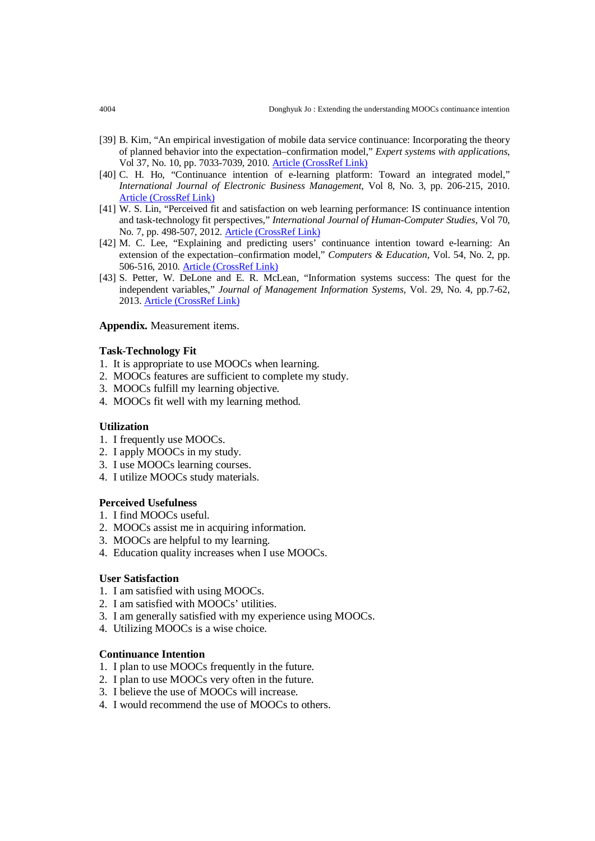- [39] B. Kim, "An empirical investigation of mobile data service continuance: Incorporating the theory of planned behavior into the expectation–confirmation model," *Expert systems with applications*, Vol 37, No. 10, pp. 7033-7039, 2010. [Article \(CrossRef Link\)](https://doi.org/10.1016/j.eswa.2010.03.015)
- [40] C. H. Ho, "Continuance intention of e-learning platform: Toward an integrated model," *International Journal of Electronic Business Management*, Vol 8, No. 3, pp. 206-215, 2010. [Article \(CrossRef Link\)](https://pdfs.semanticscholar.org/e4bb/e2faaf0c940079d66029f54334a5dedd0602.pdf)
- [41] W. S. Lin, "Perceived fit and satisfaction on web learning performance: IS continuance intention and task-technology fit perspectives," *International Journal of Human-Computer Studies*, Vol 70, No. 7, pp. 498-507, 2012. [Article \(CrossRef Link\)](https://doi.org/10.1016/j.ijhcs.2012.01.006)
- [42] M. C. Lee, "Explaining and predicting users' continuance intention toward e-learning: An extension of the expectation–confirmation model," *Computers & Education*, Vol. 54, No. 2, pp. 506-516, 2010. [Article \(CrossRef Link\)](https://doi.org/10.1016/j.compedu.2009.09.002)
- [43] S. Petter, W. DeLone and E. R. McLean, "Information systems success: The quest for the independent variables," *Journal of Management Information Systems*, Vol. 29, No. 4, pp.7-62, 2013. [Article \(CrossRef Link\)](https://doi.org/10.2753/mis0742-1222290401)

### **Appendix.** Measurement items.

#### **Task-Technology Fit**

- 1. It is appropriate to use MOOCs when learning.
- 2. MOOCs features are sufficient to complete my study.
- 3. MOOCs fulfill my learning objective.
- 4. MOOCs fit well with my learning method.

### **Utilization**

- 1. I frequently use MOOCs.
- 2. I apply MOOCs in my study.
- 3. I use MOOCs learning courses.
- 4. I utilize MOOCs study materials.

#### **Perceived Usefulness**

- 1. I find MOOCs useful.
- 2. MOOCs assist me in acquiring information.
- 3. MOOCs are helpful to my learning.
- 4. Education quality increases when I use MOOCs.

#### **User Satisfaction**

- 1. I am satisfied with using MOOCs.
- 2. I am satisfied with MOOCs' utilities.
- 3. I am generally satisfied with my experience using MOOCs.
- 4. Utilizing MOOCs is a wise choice.

#### **Continuance Intention**

- 1. I plan to use MOOCs frequently in the future.
- 2. I plan to use MOOCs very often in the future.
- 3. I believe the use of MOOCs will increase.
- 4. I would recommend the use of MOOCs to others.